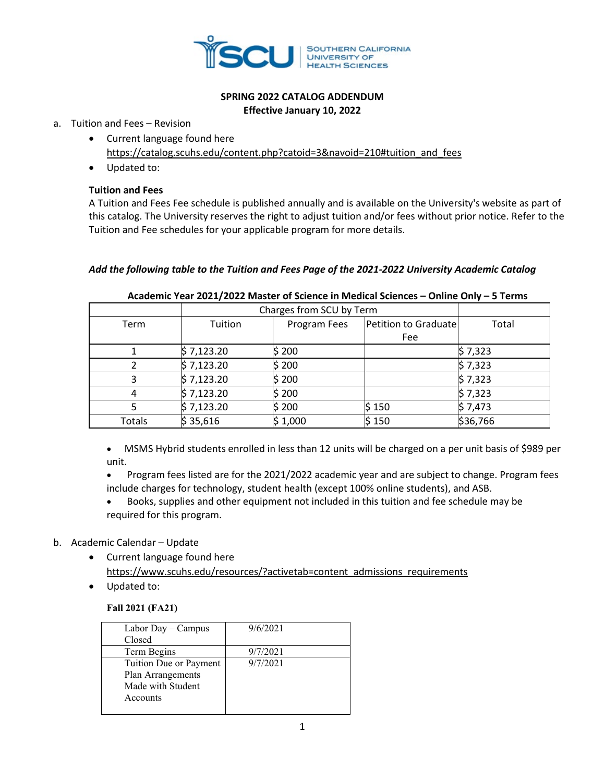

# **SPRING 2022 CATALOG ADDENDUM Effective January 10, 2022**

#### a. Tuition and Fees – Revision

- Current language found here [https://catalog.scuhs.edu/content.php?catoid=3&navoid=210#tuition\\_and\\_fees](https://catalog.scuhs.edu/content.php?catoid=3&navoid=210#tuition_and_fees)
- Updated to:

# **Tuition and Fees**

A Tuition and Fees Fee schedule is published annually and is available on the University's website as part of this catalog. The University reserves the right to adjust tuition and/or fees without prior notice. Refer to the Tuition and Fee schedules for your applicable program for more details.

# *Add the following table to the Tuition and Fees Page of the 2021-2022 University Academic Catalog*

|        | Charges from SCU by Term |                                      |        |          |
|--------|--------------------------|--------------------------------------|--------|----------|
| Term   | Tuition                  | Petition to Graduate<br>Program Fees |        | Total    |
|        |                          |                                      | Fee    |          |
|        | \$7,123.20               | \$ 200                               |        | \$7,323  |
|        | \$7,123.20               | \$ 200                               |        | \$7,323  |
|        | \$7,123.20               | \$200                                |        | \$7,323  |
| 4      | \$7,123.20               | \$ 200                               |        | \$7,323  |
|        | \$7,123.20               | \$ 200                               | \$ 150 | \$7,473  |
| Totals | \$35,616                 | \$1,000                              | \$150  | \$36,766 |

# **Academic Year 2021/2022 Master of Science in Medical Sciences – Online Only – 5 Terms**

• MSMS Hybrid students enrolled in less than 12 units will be charged on a per unit basis of \$989 per unit.

• Program fees listed are for the 2021/2022 academic year and are subject to change. Program fees include charges for technology, student health (except 100% online students), and ASB.

• Books, supplies and other equipment not included in this tuition and fee schedule may be required for this program.

# b. Academic Calendar – Update

- Current language found here [https://www.scuhs.edu/resources/?activetab=content\\_admissions\\_requirements](https://www.scuhs.edu/resources/?activetab=content_admissions_requirements)
- Updated to:

# **Fall 2021 (FA21)**

| Labor Day - Campus     | 9/6/2021 |
|------------------------|----------|
| Closed                 |          |
| Term Begins            | 9/7/2021 |
| Tuition Due or Payment | 9/7/2021 |
| Plan Arrangements      |          |
| Made with Student      |          |
| Accounts               |          |
|                        |          |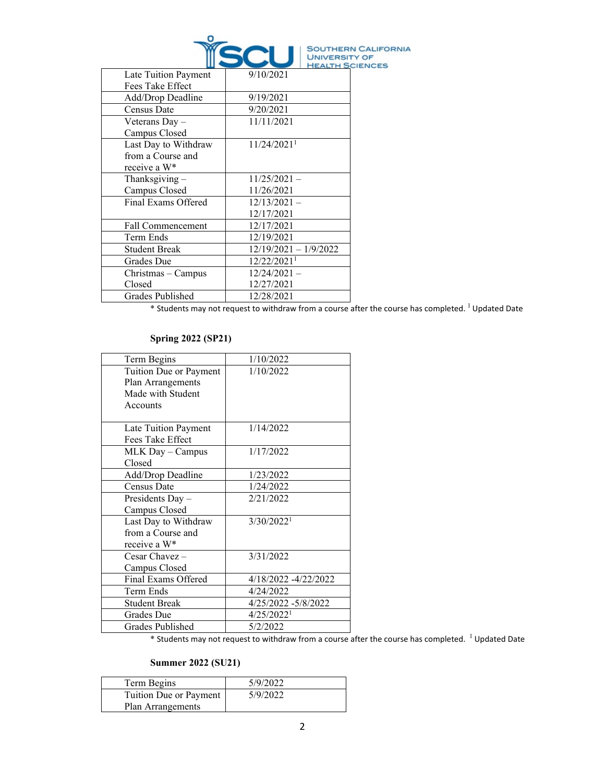

|                          |                           | <b>HEALTH S</b> |
|--------------------------|---------------------------|-----------------|
| Late Tuition Payment     | 9/10/2021                 |                 |
| Fees Take Effect         |                           |                 |
| Add/Drop Deadline        | 9/19/2021                 |                 |
| Census Date              | 9/20/2021                 |                 |
| Veterans Day -           | 11/11/2021                |                 |
| Campus Closed            |                           |                 |
| Last Day to Withdraw     | $11/24/2021$ <sup>1</sup> |                 |
| from a Course and        |                           |                 |
| receive a W*             |                           |                 |
| Thanksgiving $-$         | $11/25/2021 -$            |                 |
| Campus Closed            | 11/26/2021                |                 |
| Final Exams Offered      | $12/13/2021 -$            |                 |
|                          | 12/17/2021                |                 |
| <b>Fall Commencement</b> | 12/17/2021                |                 |
| Term Ends                | 12/19/2021                |                 |
| <b>Student Break</b>     | 12/19/2021 - 1/9/2022     |                 |
| Grades Due               | 12/22/2021 <sup>1</sup>   |                 |
| Christmas – Campus       | $12/24/2021 -$            |                 |
| Closed                   | 12/27/2021                |                 |
| Grades Published         | 12/28/2021                |                 |
|                          |                           |                 |

\* Students may not request to withdraw from a course after the course has completed. 1 Updated Date

# **Spring 2022 (SP21)**

| Term Begins            | 1/10/2022                |
|------------------------|--------------------------|
| Tuition Due or Payment | 1/10/2022                |
| Plan Arrangements      |                          |
| Made with Student      |                          |
| Accounts               |                          |
|                        |                          |
| Late Tuition Payment   | 1/14/2022                |
| Fees Take Effect       |                          |
| MLK Day - Campus       | 1/17/2022                |
| Closed                 |                          |
| Add/Drop Deadline      | 1/23/2022                |
| Census Date            | 1/24/2022                |
| Presidents Day -       | 2/21/2022                |
| Campus Closed          |                          |
| Last Day to Withdraw   | 3/30/2022 <sup>1</sup>   |
| from a Course and      |                          |
| receive a W*           |                          |
| Cesar Chavez $-$       | 3/31/2022                |
| Campus Closed          |                          |
| Final Exams Offered    | 4/18/2022 -4/22/2022     |
| Term Ends              | 4/24/2022                |
| <b>Student Break</b>   | 4/25/2022 -5/8/2022      |
| Grades Due             | $4/25/2022$ <sup>1</sup> |
| Grades Published       | 5/2/2022                 |

 $*$  Students may not request to withdraw from a course after the course has completed.  $^{-1}$  Updated Date

# **Summer 2022 (SU21)**

| Term Begins            | 5/9/2022 |
|------------------------|----------|
| Tuition Due or Payment | 5/9/2022 |
| Plan Arrangements      |          |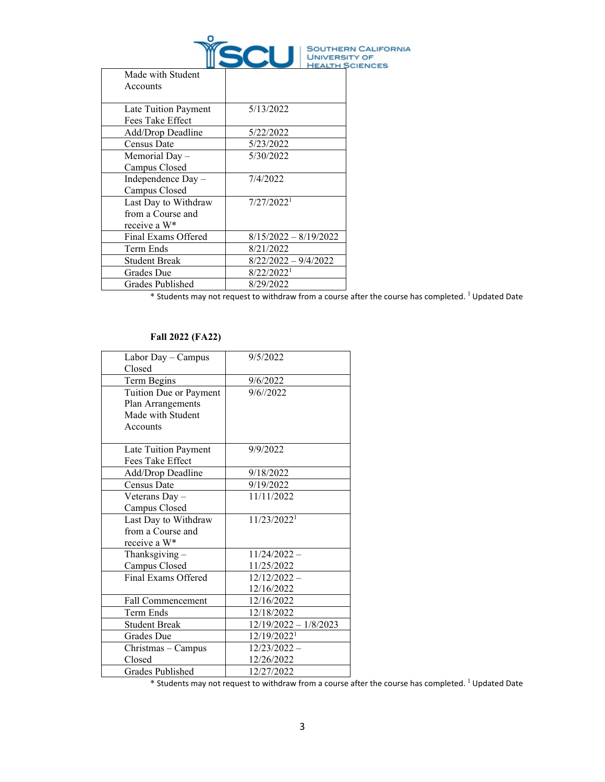

| Made with Student<br>Accounts                             |                         |
|-----------------------------------------------------------|-------------------------|
| Late Tuition Payment<br>Fees Take Effect                  | 5/13/2022               |
| Add/Drop Deadline                                         | 5/22/2022               |
| Census Date                                               | 5/23/2022               |
| Memorial Day –<br>Campus Closed                           | 5/30/2022               |
| Independence Day -<br>Campus Closed                       | 7/4/2022                |
| Last Day to Withdraw<br>from a Course and<br>receive a W* | 7/27/2022 <sup>1</sup>  |
| Final Exams Offered                                       | $8/15/2022 - 8/19/2022$ |
| Term Ends                                                 | 8/21/2022               |
| <b>Student Break</b>                                      | $8/22/2022 - 9/4/2022$  |
| Grades Due                                                | 8/22/2022 <sup>1</sup>  |
| Grades Published                                          | 8/29/2022               |

\* Students may not request to withdraw from a course after the course has completed. 1 Updated Date

#### **Fall 2022 (FA22)**

| Labor Day - Campus     | 9/5/2022                |
|------------------------|-------------------------|
| Closed                 |                         |
| Term Begins            | 9/6/2022                |
| Tuition Due or Payment | 9/6/72022               |
| Plan Arrangements      |                         |
| Made with Student      |                         |
| Accounts               |                         |
|                        |                         |
| Late Tuition Payment   | 9/9/2022                |
| Fees Take Effect       |                         |
| Add/Drop Deadline      | 9/18/2022               |
| Census Date            | 9/19/2022               |
| Veterans Day -         | 11/11/2022              |
| Campus Closed          |                         |
| Last Day to Withdraw   | 11/23/2022 <sup>1</sup> |
| from a Course and      |                         |
| receive a W*           |                         |
| Thanksgiving $-$       | $11/24/2022 -$          |
| Campus Closed          | 11/25/2022              |
| Final Exams Offered    | $12/12/2022 -$          |
|                        | 12/16/2022              |
| Fall Commencement      | 12/16/2022              |
| Term Ends              | 12/18/2022              |
| <b>Student Break</b>   | $12/19/2022 - 1/8/2023$ |
| Grades Due             | 12/19/2022 <sup>1</sup> |
| Christmas - Campus     | $12/23/2022 -$          |
| Closed                 | 12/26/2022              |
| Grades Published       | 12/27/2022              |

 $*$  Students may not request to withdraw from a course after the course has completed.  $^{1}$  Updated Date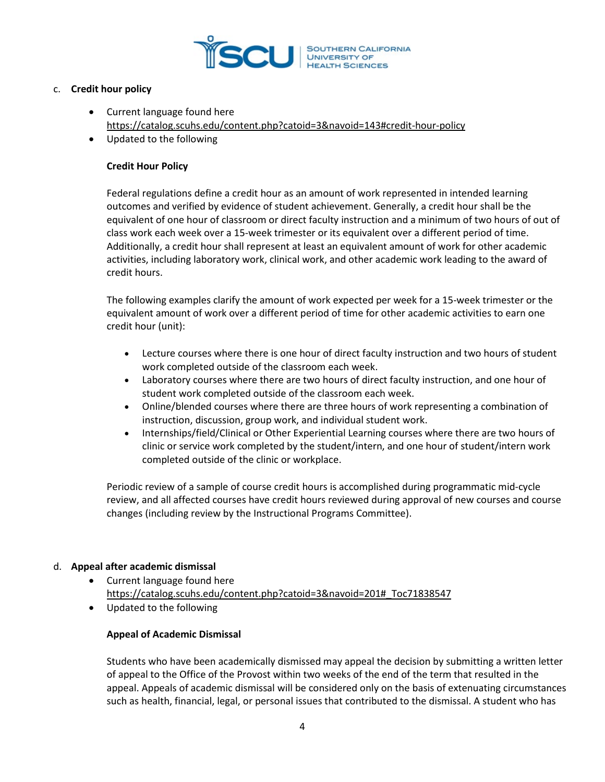

# c. **Credit hour policy**

- Current language found here <https://catalog.scuhs.edu/content.php?catoid=3&navoid=143#credit-hour-policy>
- Updated to the following

# **Credit Hour Policy**

Federal regulations define a credit hour as an amount of work represented in intended learning outcomes and verified by evidence of student achievement. Generally, a credit hour shall be the equivalent of one hour of classroom or direct faculty instruction and a minimum of two hours of out of class work each week over a 15-week trimester or its equivalent over a different period of time. Additionally, a credit hour shall represent at least an equivalent amount of work for other academic activities, including laboratory work, clinical work, and other academic work leading to the award of credit hours.

The following examples clarify the amount of work expected per week for a 15-week trimester or the equivalent amount of work over a different period of time for other academic activities to earn one credit hour (unit):

- Lecture courses where there is one hour of direct faculty instruction and two hours of student work completed outside of the classroom each week.
- Laboratory courses where there are two hours of direct faculty instruction, and one hour of student work completed outside of the classroom each week.
- Online/blended courses where there are three hours of work representing a combination of instruction, discussion, group work, and individual student work.
- Internships/field/Clinical or Other Experiential Learning courses where there are two hours of clinic or service work completed by the student/intern, and one hour of student/intern work completed outside of the clinic or workplace.

Periodic review of a sample of course credit hours is accomplished during programmatic mid-cycle review, and all affected courses have credit hours reviewed during approval of new courses and course changes (including review by the Instructional Programs Committee).

# d. **Appeal after academic dismissal**

- Current language found here [https://catalog.scuhs.edu/content.php?catoid=3&navoid=201#\\_Toc71838547](https://catalog.scuhs.edu/content.php?catoid=3&navoid=201#_Toc71838547)
- Updated to the following

# **Appeal of Academic Dismissal**

Students who have been academically dismissed may appeal the decision by submitting a written letter of appeal to the Office of the Provost within two weeks of the end of the term that resulted in the appeal. Appeals of academic dismissal will be considered only on the basis of extenuating circumstances such as health, financial, legal, or personal issues that contributed to the dismissal. A student who has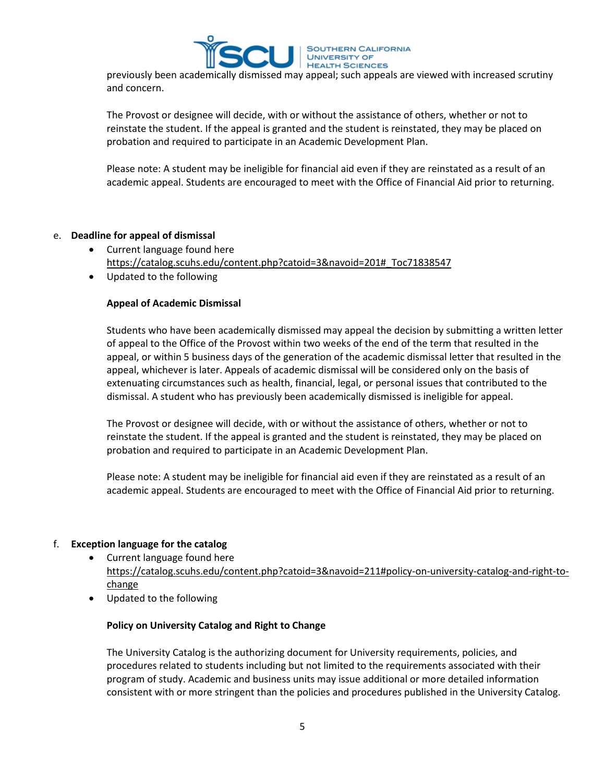

previously been academically dismissed may appeal; such appeals are viewed with increased scrutiny and concern.

The Provost or designee will decide, with or without the assistance of others, whether or not to reinstate the student. If the appeal is granted and the student is reinstated, they may be placed on probation and required to participate in an Academic Development Plan.

Please note: A student may be ineligible for financial aid even if they are reinstated as a result of an academic appeal. Students are encouraged to meet with the Office of Financial Aid prior to returning.

# e. **Deadline for appeal of dismissal**

- Current language found here [https://catalog.scuhs.edu/content.php?catoid=3&navoid=201#\\_Toc71838547](https://catalog.scuhs.edu/content.php?catoid=3&navoid=201#_Toc71838547)
- Updated to the following

# **Appeal of Academic Dismissal**

Students who have been academically dismissed may appeal the decision by submitting a written letter of appeal to the Office of the Provost within two weeks of the end of the term that resulted in the appeal, or within 5 business days of the generation of the academic dismissal letter that resulted in the appeal, whichever is later. Appeals of academic dismissal will be considered only on the basis of extenuating circumstances such as health, financial, legal, or personal issues that contributed to the dismissal. A student who has previously been academically dismissed is ineligible for appeal.

The Provost or designee will decide, with or without the assistance of others, whether or not to reinstate the student. If the appeal is granted and the student is reinstated, they may be placed on probation and required to participate in an Academic Development Plan.

Please note: A student may be ineligible for financial aid even if they are reinstated as a result of an academic appeal. Students are encouraged to meet with the Office of Financial Aid prior to returning.

# f. **Exception language for the catalog**

- Current language found here [https://catalog.scuhs.edu/content.php?catoid=3&navoid=211#policy-on-university-catalog-and-right-to](https://catalog.scuhs.edu/content.php?catoid=3&navoid=211#policy-on-university-catalog-and-right-to-change)[change](https://catalog.scuhs.edu/content.php?catoid=3&navoid=211#policy-on-university-catalog-and-right-to-change)
- Updated to the following

#### **Policy on University Catalog and Right to Change**

The University Catalog is the authorizing document for University requirements, policies, and procedures related to students including but not limited to the requirements associated with their program of study. Academic and business units may issue additional or more detailed information consistent with or more stringent than the policies and procedures published in the University Catalog.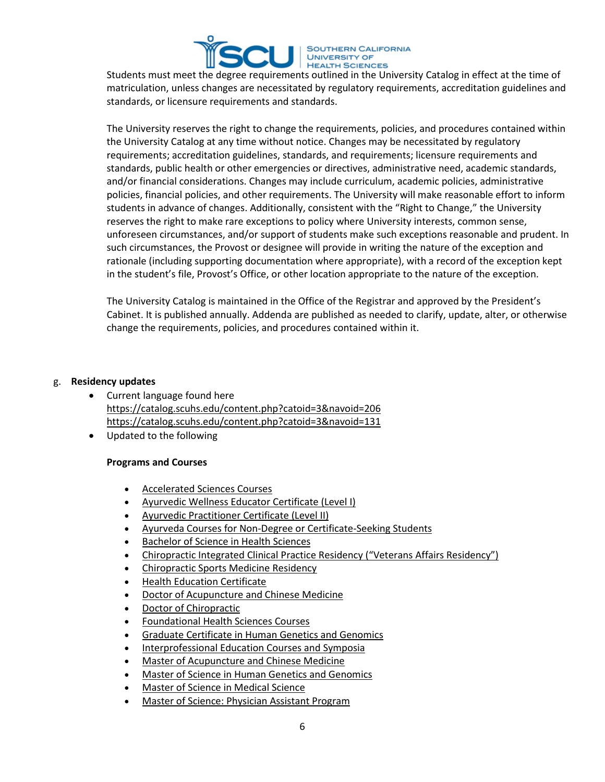

Students must meet the degree requirements outlined in the University Catalog in effect at the time of matriculation, unless changes are necessitated by regulatory requirements, accreditation guidelines and standards, or licensure requirements and standards.

The University reserves the right to change the requirements, policies, and procedures contained within the University Catalog at any time without notice. Changes may be necessitated by regulatory requirements; accreditation guidelines, standards, and requirements; licensure requirements and standards, public health or other emergencies or directives, administrative need, academic standards, and/or financial considerations. Changes may include curriculum, academic policies, administrative policies, financial policies, and other requirements. The University will make reasonable effort to inform students in advance of changes. Additionally, consistent with the "Right to Change," the University reserves the right to make rare exceptions to policy where University interests, common sense, unforeseen circumstances, and/or support of students make such exceptions reasonable and prudent. In such circumstances, the Provost or designee will provide in writing the nature of the exception and rationale (including supporting documentation where appropriate), with a record of the exception kept in the student's file, Provost's Office, or other location appropriate to the nature of the exception.

The University Catalog is maintained in the Office of the Registrar and approved by the President's Cabinet. It is published annually. Addenda are published as needed to clarify, update, alter, or otherwise change the requirements, policies, and procedures contained within it.

#### g. **Residency updates**

- Current language found here <https://catalog.scuhs.edu/content.php?catoid=3&navoid=206> <https://catalog.scuhs.edu/content.php?catoid=3&navoid=131>
- Updated to the following

# **Programs and Courses**

- [Accelerated Sciences Courses](https://catalog.scuhs.edu/content.php?catoid=3&navoid=206#as)
- [Ayurvedic Wellness Educator Certificate](https://catalog.scuhs.edu/content.php?catoid=3&navoid=206#ayw) (Level I)
- [Ayurvedic Practitioner Certificate \(Level II\)](https://catalog.scuhs.edu/content.php?catoid=3&navoid=206#ayp)
- [Ayurveda Courses for Non-](https://catalog.scuhs.edu/content.php?catoid=3&navoid=206#ay_course_for_non-degree)Degree or Certificate-Seeking Students
- [Bachelor of Science in Health Sciences](https://catalog.scuhs.edu/content.php?catoid=3&navoid=206#bshs)
- Chiropractic Integrated Clinical Practice Residency ("Veterans Affairs Residency")
- Chiropractic Sports Medicine Residency
- [Health Education Certificate](https://catalog.scuhs.edu/content.php?catoid=3&navoid=206#certified-health-education-specialist-certificate)
- [Doctor of Acupuncture and Chinese Medicine](https://catalog.scuhs.edu/content.php?catoid=3&navoid=206#dacm)
- [Doctor of Chiropractic](https://catalog.scuhs.edu/content.php?catoid=3&navoid=206#dc)
- [Foundational Health Sciences Courses](https://catalog.scuhs.edu/content.php?catoid=3&navoid=206#foundational-health-sciences-courses)
- [Graduate Certificate in Human Genetics and Genomics](https://catalog.scuhs.edu/content.php?catoid=3&navoid=206#grad-cert-hgg)
- [Interprofessional Education Courses and Symposia](https://catalog.scuhs.edu/content.php?catoid=3&navoid=206#interprofessional-education-course-symposia)
- [Master of Acupuncture and Chinese Medicine](https://catalog.scuhs.edu/content.php?catoid=3&navoid=206#macm)
- [Master of Science in Human Genetics and Genomics](https://catalog.scuhs.edu/content.php?catoid=3&navoid=206#mshgg)
- [Master of Science in Medical Science](https://catalog.scuhs.edu/content.php?catoid=3&navoid=206#msms)
- [Master of Science: Physician Assistant Program](https://catalog.scuhs.edu/content.php?catoid=3&navoid=206#mspa)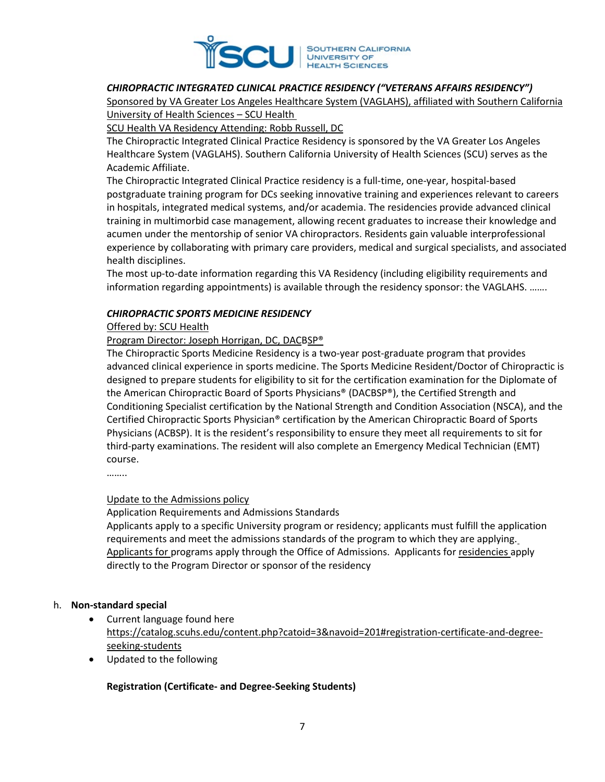

# *CHIROPRACTIC INTEGRATED CLINICAL PRACTICE RESIDENCY ("VETERANS AFFAIRS RESIDENCY")*

Sponsored by VA Greater Los Angeles Healthcare System (VAGLAHS), affiliated with Southern California University of Health Sciences – SCU Health

SCU Health VA Residency Attending: Robb Russell, DC

The Chiropractic Integrated Clinical Practice Residency is sponsored by the VA Greater Los Angeles Healthcare System (VAGLAHS). Southern California University of Health Sciences (SCU) serves as the Academic Affiliate.

The Chiropractic Integrated Clinical Practice residency is a full-time, one-year, hospital-based postgraduate training program for DCs seeking innovative training and experiences relevant to careers in hospitals, integrated medical systems, and/or academia. The residencies provide advanced clinical training in multimorbid case management, allowing recent graduates to increase their knowledge and acumen under the mentorship of senior VA chiropractors. Residents gain valuable interprofessional experience by collaborating with primary care providers, medical and surgical specialists, and associated health disciplines.

The most up-to-date information regarding this VA Residency (including eligibility requirements and information regarding appointments) is available through the residency sponsor: the VAGLAHS. …….

#### *CHIROPRACTIC SPORTS MEDICINE RESIDENCY*

#### Offered by: SCU Health

#### Program Director: Joseph Horrigan, DC, DACBSP®

The Chiropractic Sports Medicine Residency is a two-year post-graduate program that provides advanced clinical experience in sports medicine. The Sports Medicine Resident/Doctor of Chiropractic is designed to prepare students for eligibility to sit for the certification examination for the Diplomate of the American Chiropractic Board of Sports Physicians® (DACBSP®), the Certified Strength and Conditioning Specialist certification by the National Strength and Condition Association (NSCA), and the Certified Chiropractic Sports Physician® certification by the American Chiropractic Board of Sports Physicians (ACBSP). It is the resident's responsibility to ensure they meet all requirements to sit for third-party examinations. The resident will also complete an Emergency Medical Technician (EMT) course.

……..

# Update to the Admissions policy

Application Requirements and Admissions Standards

Applicants apply to a specific University program or residency; applicants must fulfill the application requirements and meet the admissions standards of the program to which they are applying. Applicants for programs apply through the Office of Admissions. Applicants for residencies apply directly to the Program Director or sponsor of the residency

#### h. **Non-standard special**

- Current language found here [https://catalog.scuhs.edu/content.php?catoid=3&navoid=201#registration-certificate-and-degree](https://catalog.scuhs.edu/content.php?catoid=3&navoid=201#registration-certificate-and-degree-seeking-students)seeking[-students](https://catalog.scuhs.edu/content.php?catoid=3&navoid=201#registration-certificate-and-degree-seeking-students)
- Updated to the following

#### **Registration (Certificate- and Degree-Seeking Students)**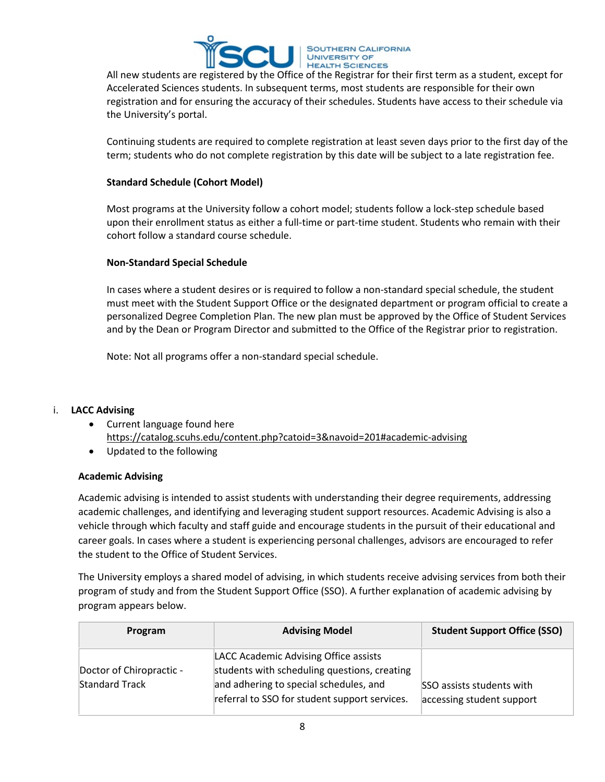

All new students are registered by the Office of the Registrar for their first term as a student, except for Accelerated Sciences students. In subsequent terms, most students are responsible for their own registration and for ensuring the accuracy of their schedules. Students have access to their schedule via the University's portal.

Continuing students are required to complete registration at least seven days prior to the first day of the term; students who do not complete registration by this date will be subject to a late registration fee.

# **Standard Schedule (Cohort Model)**

Most programs at the University follow a cohort model; students follow a lock-step schedule based upon their enrollment status as either a full-time or part-time student. Students who remain with their cohort follow a standard course schedule.

# **Non-Standard Special Schedule**

In cases where a student desires or is required to follow a non-standard special schedule, the student must meet with the Student Support Office or the designated department or program official to create a personalized Degree Completion Plan. The new plan must be approved by the Office of Student Services and by the Dean or Program Director and submitted to the Office of the Registrar prior to registration.

Note: Not all programs offer a non-standard special schedule.

# i. **LACC Advising**

- Current language found here [https://catalog.scuhs.edu/content.php?catoid=3&navoid=201#academic](https://catalog.scuhs.edu/content.php?catoid=3&navoid=201#academic-advising)-advising
- Updated to the following

# **Academic Advising**

Academic advising is intended to assist students with understanding their degree requirements, addressing academic challenges, and identifying and leveraging student support resources. Academic Advising is also a vehicle through which faculty and staff guide and encourage students in the pursuit of their educational and career goals. In cases where a student is experiencing personal challenges, advisors are encouraged to refer the student to the Office of Student Services.

The University employs a shared model of advising, in which students receive advising services from both their program of study and from the Student Support Office (SSO). A further explanation of academic advising by program appears below.

| Program                                           | <b>Advising Model</b>                                                                                                                                                            | <b>Student Support Office (SSO)</b>                    |
|---------------------------------------------------|----------------------------------------------------------------------------------------------------------------------------------------------------------------------------------|--------------------------------------------------------|
| Doctor of Chiropractic -<br><b>Standard Track</b> | LACC Academic Advising Office assists<br>students with scheduling questions, creating<br>and adhering to special schedules, and<br>referral to SSO for student support services. | SSO assists students with<br>accessing student support |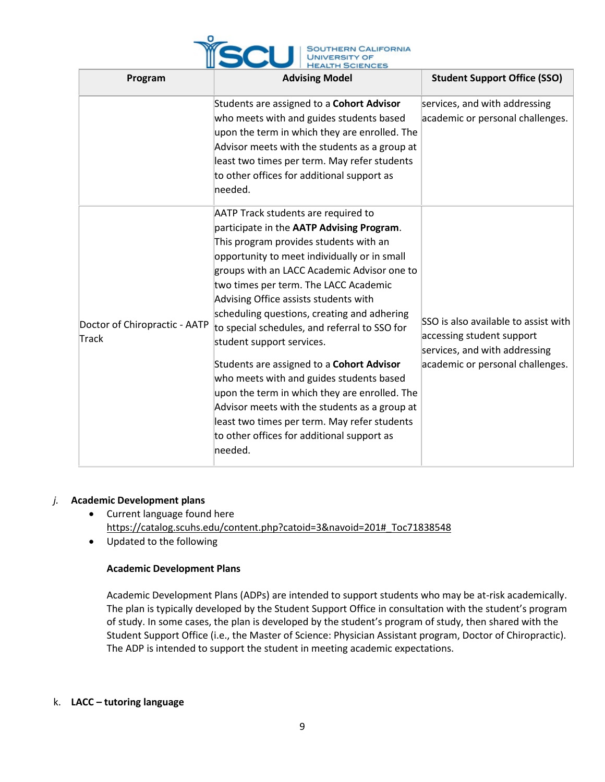

| Program                                | <b>Advising Model</b>                                                                                                                                                                                                                                                                                                                                                                                                                                                                                                                                                                                                                                                                                                                               | <b>Student Support Office (SSO)</b>                                                                                                    |  |  |
|----------------------------------------|-----------------------------------------------------------------------------------------------------------------------------------------------------------------------------------------------------------------------------------------------------------------------------------------------------------------------------------------------------------------------------------------------------------------------------------------------------------------------------------------------------------------------------------------------------------------------------------------------------------------------------------------------------------------------------------------------------------------------------------------------------|----------------------------------------------------------------------------------------------------------------------------------------|--|--|
|                                        | Students are assigned to a Cohort Advisor<br>who meets with and guides students based<br>upon the term in which they are enrolled. The<br>Advisor meets with the students as a group at<br>least two times per term. May refer students<br>to other offices for additional support as<br>needed.                                                                                                                                                                                                                                                                                                                                                                                                                                                    | services, and with addressing<br>academic or personal challenges.                                                                      |  |  |
| Doctor of Chiropractic - AATP<br>Track | <b>AATP Track students are required to</b><br>participate in the AATP Advising Program.<br>This program provides students with an<br>opportunity to meet individually or in small<br>groups with an LACC Academic Advisor one to<br>two times per term. The LACC Academic<br>Advising Office assists students with<br>scheduling questions, creating and adhering<br>to special schedules, and referral to SSO for<br>student support services.<br>Students are assigned to a Cohort Advisor<br>who meets with and guides students based<br>upon the term in which they are enrolled. The<br>Advisor meets with the students as a group at<br>least two times per term. May refer students<br>to other offices for additional support as<br>needed. | SSO is also available to assist with<br>accessing student support<br>services, and with addressing<br>academic or personal challenges. |  |  |

# *j.* **Academic Development plans**

- Current language found here [https://catalog.scuhs.edu/content.php?catoid=3&navoid=201#\\_Toc71838548](https://catalog.scuhs.edu/content.php?catoid=3&navoid=201#_Toc71838548)
- Updated to the following

# **Academic Development Plans**

Academic Development Plans (ADPs) are intended to support students who may be at-risk academically. The plan is typically developed by the Student Support Office in consultation with the student's program of study. In some cases, the plan is developed by the student's program of study, then shared with the Student Support Office (i.e., the Master of Science: Physician Assistant program, Doctor of Chiropractic). The ADP is intended to support the student in meeting academic expectations.

#### k. **LACC – tutoring language**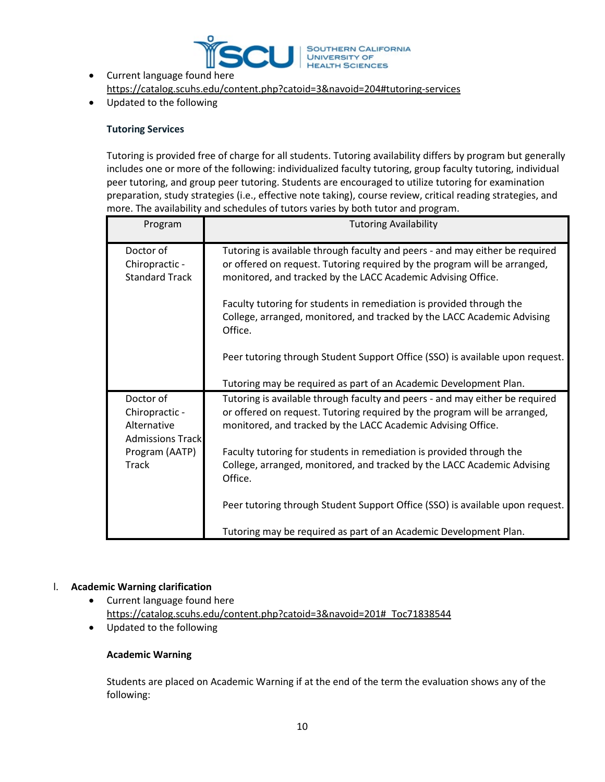

- Current language found here <https://catalog.scuhs.edu/content.php?catoid=3&navoid=204#tutoring-services>
- Updated to the following

# **Tutoring Services**

Tutoring is provided free of charge for all students. Tutoring availability differs by program but generally includes one or more of the following: individualized faculty tutoring, group faculty tutoring, individual peer tutoring, and group peer tutoring. Students are encouraged to utilize tutoring for examination preparation, study strategies (i.e., effective note taking), course review, critical reading strategies, and more. The availability and schedules of tutors varies by both tutor and program.

| Program                                                                | <b>Tutoring Availability</b>                                                                                                                                                                                              |
|------------------------------------------------------------------------|---------------------------------------------------------------------------------------------------------------------------------------------------------------------------------------------------------------------------|
| Doctor of<br>Chiropractic -<br><b>Standard Track</b>                   | Tutoring is available through faculty and peers - and may either be required<br>or offered on request. Tutoring required by the program will be arranged,<br>monitored, and tracked by the LACC Academic Advising Office. |
|                                                                        | Faculty tutoring for students in remediation is provided through the<br>College, arranged, monitored, and tracked by the LACC Academic Advising<br>Office.                                                                |
|                                                                        | Peer tutoring through Student Support Office (SSO) is available upon request.                                                                                                                                             |
|                                                                        | Tutoring may be required as part of an Academic Development Plan.                                                                                                                                                         |
| Doctor of<br>Chiropractic -<br>Alternative<br><b>Admissions Trackl</b> | Tutoring is available through faculty and peers - and may either be required<br>or offered on request. Tutoring required by the program will be arranged,<br>monitored, and tracked by the LACC Academic Advising Office. |
| Program (AATP)<br><b>Track</b>                                         | Faculty tutoring for students in remediation is provided through the<br>College, arranged, monitored, and tracked by the LACC Academic Advising<br>Office.                                                                |
|                                                                        | Peer tutoring through Student Support Office (SSO) is available upon request.                                                                                                                                             |
|                                                                        | Tutoring may be required as part of an Academic Development Plan.                                                                                                                                                         |

# l. **Academic Warning clarification**

- Current language found here [https://catalog.scuhs.edu/content.php?catoid=3&navoid=201#\\_Toc71838544](https://catalog.scuhs.edu/content.php?catoid=3&navoid=201#_Toc71838544)
- Updated to the following

# **Academic Warning**

Students are placed on Academic Warning if at the end of the term the evaluation shows any of the following: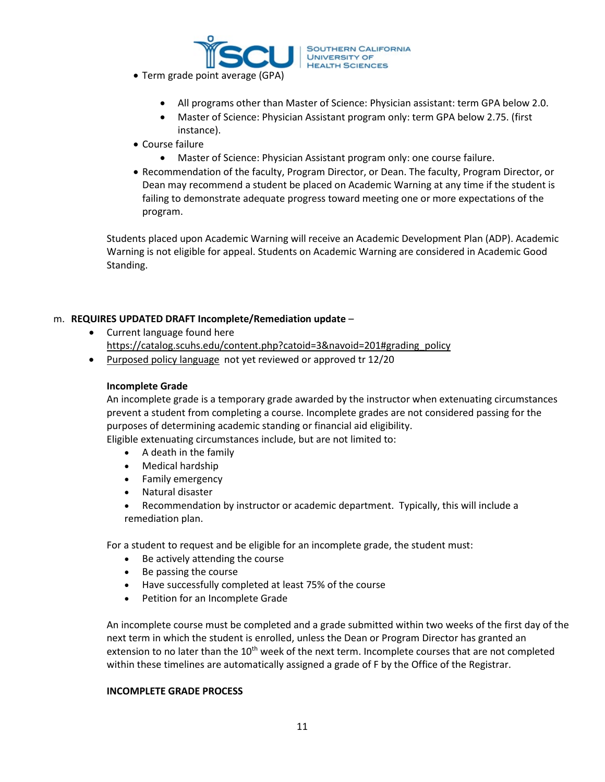

- Term grade point average (GPA)
	- All programs other than Master of Science: Physician assistant: term GPA below 2.0.
	- Master of Science: Physician Assistant program only: term GPA below 2.75. (first instance).
- Course failure
	- Master of Science: Physician Assistant program only: one course failure.
- Recommendation of the faculty, Program Director, or Dean. The faculty, Program Director, or Dean may recommend a student be placed on Academic Warning at any time if the student is failing to demonstrate adequate progress toward meeting one or more expectations of the program.

Students placed upon Academic Warning will receive an Academic Development Plan (ADP). Academic Warning is not eligible for appeal. Students on Academic Warning are considered in Academic Good Standing.

#### m. **REQUIRES UPDATED DRAFT Incomplete/Remediation update** –

- Current language found here [https://catalog.scuhs.edu/content.php?catoid=3&navoid=201#grading\\_policy](https://catalog.scuhs.edu/content.php?catoid=3&navoid=201#grading_policy)
- [Purposed policy language](https://scu-my.sharepoint.com/:w:/g/personal/robertboggs_scuhs_edu/EWnQimkvXdZAiv-h2BvD3z4B354jLk474vMLOuv6akv5cA?e=thTwYs) not yet reviewed or approved tr 12/20

#### **Incomplete Grade**

An incomplete grade is a temporary grade awarded by the instructor when extenuating circumstances prevent a student from completing a course. Incomplete grades are not considered passing for the purposes of determining academic standing or financial aid eligibility.

Eligible extenuating circumstances include, but are not limited to:

- A death in the family
- Medical hardship
- Family emergency
- Natural disaster

• Recommendation by instructor or academic department. Typically, this will include a remediation plan.

For a student to request and be eligible for an incomplete grade, the student must:

- Be actively attending the course
- Be passing the course
- Have successfully completed at least 75% of the course
- Petition for an Incomplete Grade

An incomplete course must be completed and a grade submitted within two weeks of the first day of the next term in which the student is enrolled, unless the Dean or Program Director has granted an extension to no later than the 10<sup>th</sup> week of the next term. Incomplete courses that are not completed within these timelines are automatically assigned a grade of F by the Office of the Registrar.

#### **INCOMPLETE GRADE PROCESS**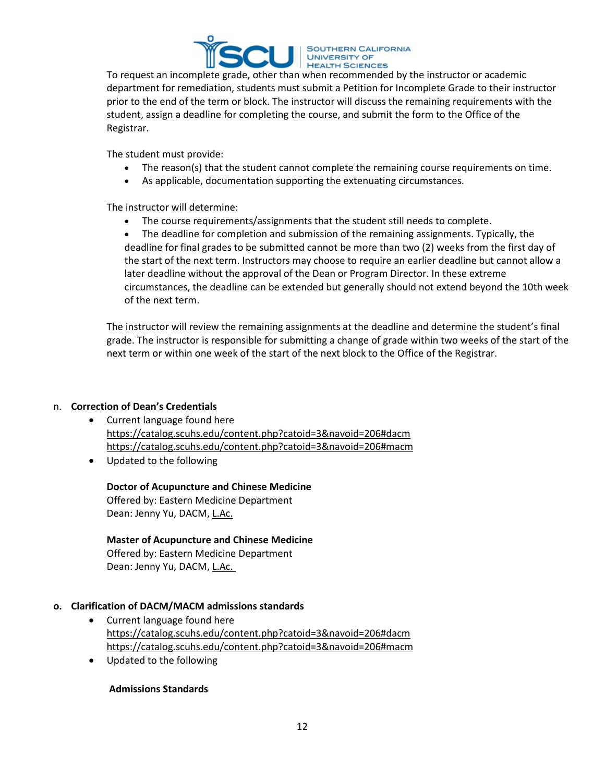

To request an incomplete grade, other than when recommended by the instructor or academic department for remediation, students must submit a Petition for Incomplete Grade to their instructor prior to the end of the term or block. The instructor will discuss the remaining requirements with the student, assign a deadline for completing the course, and submit the form to the Office of the Registrar.

The student must provide:

- The reason(s) that the student cannot complete the remaining course requirements on time.
- As applicable, documentation supporting the extenuating circumstances.

The instructor will determine:

• The course requirements/assignments that the student still needs to complete.

• The deadline for completion and submission of the remaining assignments. Typically, the deadline for final grades to be submitted cannot be more than two (2) weeks from the first day of the start of the next term. Instructors may choose to require an earlier deadline but cannot allow a later deadline without the approval of the Dean or Program Director. In these extreme circumstances, the deadline can be extended but generally should not extend beyond the 10th week of the next term.

The instructor will review the remaining assignments at the deadline and determine the student's final grade. The instructor is responsible for submitting a change of grade within two weeks of the start of the next term or within one week of the start of the next block to the Office of the Registrar.

# n. **Correction of Dean's Credentials**

- Current language found here <https://catalog.scuhs.edu/content.php?catoid=3&navoid=206#dacm> https://catalog.scuhs.edu/c[ontent.php?catoid=3&navoid=206#macm](https://catalog.scuhs.edu/content.php?catoid=3&navoid=206#macm)
- Updated to the following

# **Doctor of Acupuncture and Chinese Medicine**

Offered by: Eastern Medicine Department   Dean: Jenny Yu, DACM, L.Ac.

# **Master of Acupuncture and Chinese Medicine**

Offered by: Eastern Medicine Department  Dean: Jenny Yu, DACM, L.Ac.

# **o. Clarification of DACM/MACM admissions standards**

- Current language found here <https://catalog.scuhs.edu/content.php?catoid=3&navoid=206#dacm> <https://catalog.scuhs.edu/content.php?catoid=3&navoid=206#macm>
- Updated to the following

# **Admissions Standards**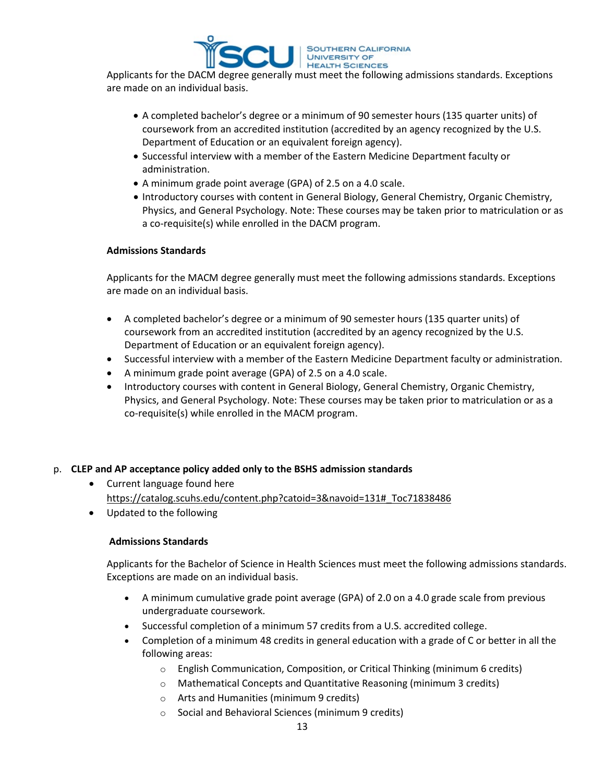

Applicants for the DACM degree generally must meet the following admissions standards. Exceptions are made on an individual basis.

- A completed bachelor's degree or a minimum of 90 semester hours (135 quarter units) of coursework from an accredited institution (accredited by an agency recognized by the U.S. Department of Education or an equivalent foreign agency).
- Successful interview with a member of the Eastern Medicine Department faculty or administration.
- A minimum grade point average (GPA) of 2.5 on a 4.0 scale.
- Introductory courses with content in General Biology, General Chemistry, Organic Chemistry, Physics, and General Psychology. Note: These courses may be taken prior to matriculation or as a co-requisite(s) while enrolled in the DACM program.

# **Admissions Standards**

Applicants for the MACM degree generally must meet the following admissions standards. Exceptions are made on an individual basis.

- A completed bachelor's degree or a minimum of 90 semester hours (135 quarter units) of coursework from an accredited institution (accredited by an agency recognized by the U.S. Department of Education or an equivalent foreign agency).
- Successful interview with a member of the Eastern Medicine Department faculty or administration.
- A minimum grade point average (GPA) of 2.5 on a 4.0 scale.
- Introductory courses with content in General Biology, General Chemistry, Organic Chemistry, Physics, and General Psychology. Note: These courses may be taken prior to matriculation or as a co-requisite(s) while enrolled in the MACM program.

# p. **CLEP and AP acceptance policy added only to the BSHS admission standards**

- Current language found here [https://catalog.scuhs.edu/content.php?catoid=3&navoid=131#\\_Toc71838486](https://catalog.scuhs.edu/content.php?catoid=3&navoid=131#_Toc71838486)
- Updated to the following

# **Admissions Standards**

Applicants for the Bachelor of Science in Health Sciences must meet the following admissions standards. Exceptions are made on an individual basis.

- A minimum cumulative grade point average (GPA) of 2.0 on a 4.0 grade scale from previous undergraduate coursework.
- Successful completion of a minimum 57 credits from a U.S. accredited college.
- Completion of a minimum 48 credits in general education with a grade of C or better in all the following areas:
	- $\circ$  English Communication, Composition, or Critical Thinking (minimum 6 credits)
	- o Mathematical Concepts and Quantitative Reasoning (minimum 3 credits)
	- o Arts and Humanities (minimum 9 credits)
	- o Social and Behavioral Sciences (minimum 9 credits)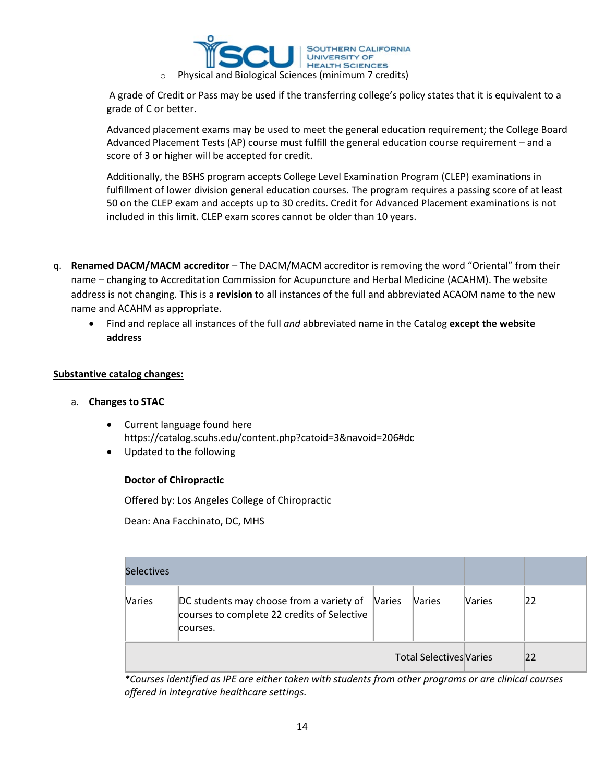

A grade of Credit or Pass may be used if the transferring college's policy states that it is equivalent to a grade of C or better.

Advanced placement exams may be used to meet the general education requirement; the College Board Advanced Placement Tests (AP) course must fulfill the general education course requirement – and a score of 3 or higher will be accepted for credit.

Additionally, the BSHS program accepts College Level Examination Program (CLEP) examinations in fulfillment of lower division general education courses. The program requires a passing score of at least 50 on the CLEP exam and accepts up to 30 credits. Credit for Advanced Placement examinations is not included in this limit. CLEP exam scores cannot be older than 10 years.

- q. **Renamed DACM/MACM accreditor** The DACM/MACM accreditor is removing the word "Oriental" from their name – changing to Accreditation Commission for Acupuncture and Herbal Medicine (ACAHM). The website address is not changing. This is a **revision** to all instances of the full and abbreviated ACAOM name to the new name and ACAHM as appropriate.
	- Find and replace all instances of the full *and* abbreviated name in the Catalog **except the website address**

# **Substantive catalog changes:**

#### a. **Changes to STAC**

- Current language found here <https://catalog.scuhs.edu/content.php?catoid=3&navoid=206#dc>
- Updated to the following

# **Doctor of Chiropractic**

Offered by: Los Angeles College of Chiropractic

Dean: Ana Facchinato, DC, MHS

| <b>Selectives</b> |                                                                                                     |        |                                |               |    |
|-------------------|-----------------------------------------------------------------------------------------------------|--------|--------------------------------|---------------|----|
| Varies            | DC students may choose from a variety of<br>courses to complete 22 credits of Selective<br>courses. | Varies | <b>Naries</b>                  | <b>Varies</b> | 22 |
|                   |                                                                                                     |        | <b>Total Selectives Varies</b> |               | 22 |

*\*Courses identified as IPE are either taken with students from other programs or are clinical courses offered in integrative healthcare settings.*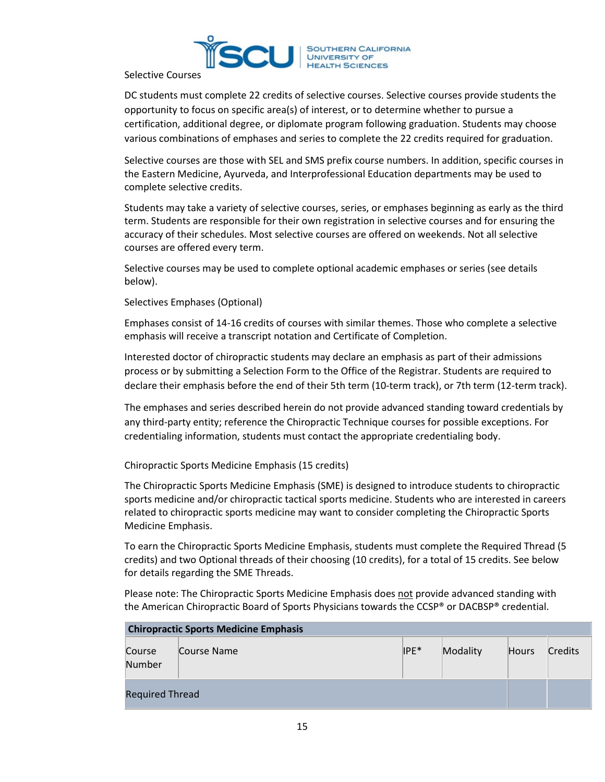

Selective Courses

DC students must complete 22 credits of selective courses. Selective courses provide students the opportunity to focus on specific area(s) of interest, or to determine whether to pursue a certification, additional degree, or diplomate program following graduation. Students may choose various combinations of emphases and series to complete the 22 credits required for graduation.

Selective courses are those with SEL and SMS prefix course numbers. In addition, specific courses in the Eastern Medicine, Ayurveda, and Interprofessional Education departments may be used to complete selective credits.

Students may take a variety of selective courses, series, or emphases beginning as early as the third term. Students are responsible for their own registration in selective courses and for ensuring the accuracy of their schedules. Most selective courses are offered on weekends. Not all selective courses are offered every term.

Selective courses may be used to complete optional academic emphases or series (see details below).

Selectives Emphases (Optional)

Emphases consist of 14-16 credits of courses with similar themes. Those who complete a selective emphasis will receive a transcript notation and Certificate of Completion.

Interested doctor of chiropractic students may declare an emphasis as part of their admissions process or by submitting a Selection Form to the Office of the Registrar. Students are required to declare their emphasis before the end of their 5th term (10-term track), or 7th term (12-term track).

The emphases and series described herein do not provide advanced standing toward credentials by any third-party entity; reference the Chiropractic Technique courses for possible exceptions. For credentialing information, students must contact the appropriate credentialing body.

Chiropractic Sports Medicine Emphasis (15 credits)

The Chiropractic Sports Medicine Emphasis (SME) is designed to introduce students to chiropractic sports medicine and/or chiropractic tactical sports medicine. Students who are interested in careers related to chiropractic sports medicine may want to consider completing the Chiropractic Sports Medicine Emphasis.

To earn the Chiropractic Sports Medicine Emphasis, students must complete the Required Thread (5 credits) and two Optional threads of their choosing (10 credits), for a total of 15 credits. See below for details regarding the SME Threads.

Please note: The Chiropractic Sports Medicine Emphasis does not provide advanced standing with the American Chiropractic Board of Sports Physicians towards the CCSP® or DACBSP® credential.

| <b>Chiropractic Sports Medicine Emphasis</b> |             |      |          |              |                |  |
|----------------------------------------------|-------------|------|----------|--------------|----------------|--|
| Course<br>Number                             | Course Name | IPE* | Modality | <b>Hours</b> | <b>Credits</b> |  |
| <b>Required Thread</b>                       |             |      |          |              |                |  |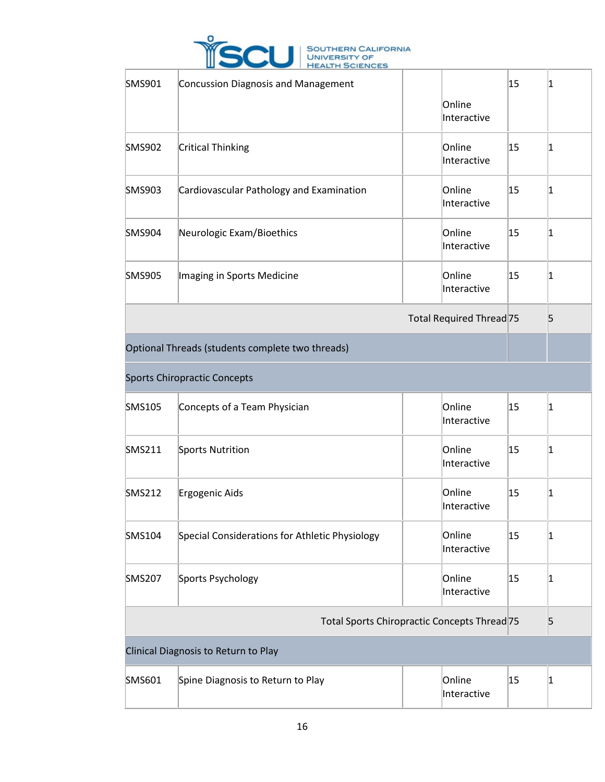

| <b>SMS901</b>                                    | <b>Concussion Diagnosis and Management</b>     | Online<br>Interactive    | 15 | 1           |
|--------------------------------------------------|------------------------------------------------|--------------------------|----|-------------|
| <b>SMS902</b>                                    | <b>Critical Thinking</b>                       | Online<br>Interactive    | 15 | $\mathbf 1$ |
| <b>SMS903</b>                                    | Cardiovascular Pathology and Examination       | Online<br>Interactive    | 15 | 1           |
| <b>SMS904</b>                                    | Neurologic Exam/Bioethics                      | Online<br>Interactive    | 15 | 1           |
| <b>SMS905</b>                                    | Imaging in Sports Medicine                     | Online<br>Interactive    | 15 | 1           |
|                                                  |                                                | Total Required Thread 75 |    | 5           |
| Optional Threads (students complete two threads) |                                                |                          |    |             |
|                                                  | <b>Sports Chiropractic Concepts</b>            |                          |    |             |
| SMS105                                           | Concepts of a Team Physician                   | Online<br>Interactive    | 15 | $\vert$ 1   |
| <b>SMS211</b>                                    | Sports Nutrition                               | Online<br>Interactive    | 15 | 1           |
| <b>SMS212</b>                                    | Ergogenic Aids                                 | Online<br>Interactive    | 15 | 1           |
| <b>SMS104</b>                                    | Special Considerations for Athletic Physiology | Online<br>Interactive    | 15 | 1           |
| <b>SMS207</b>                                    | Sports Psychology                              | Online<br>Interactive    | 15 | $\vert$ 1   |
|                                                  | Total Sports Chiropractic Concepts Thread 75   |                          |    | 5           |
|                                                  | Clinical Diagnosis to Return to Play           |                          |    |             |
| SMS601                                           | Spine Diagnosis to Return to Play              | Online<br>Interactive    | 15 | $\vert$ 1   |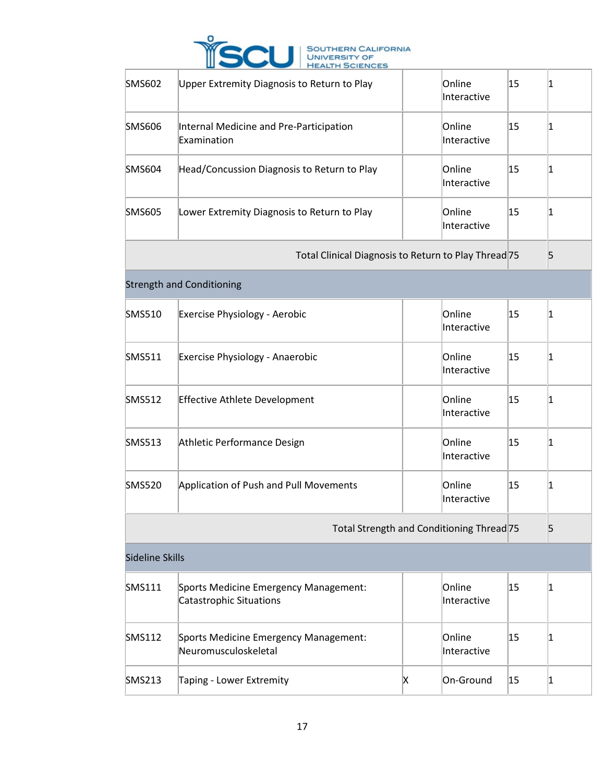

| <b>SMS602</b>          | Upper Extremity Diagnosis to Return to Play                             |   | Online<br>Interactive                     | 15 | 1               |
|------------------------|-------------------------------------------------------------------------|---|-------------------------------------------|----|-----------------|
| <b>SMS606</b>          | Internal Medicine and Pre-Participation<br>Examination                  |   | Online<br>Interactive                     | 15 | 1               |
| <b>SMS604</b>          | Head/Concussion Diagnosis to Return to Play                             |   | Online<br>Interactive                     | 15 | 1               |
| <b>SMS605</b>          | Lower Extremity Diagnosis to Return to Play                             |   | Online<br>Interactive                     | 15 | $\vert 1 \vert$ |
|                        | Total Clinical Diagnosis to Return to Play Thread 75                    |   |                                           |    | 5               |
|                        | <b>Strength and Conditioning</b>                                        |   |                                           |    |                 |
| <b>SMS510</b>          | Exercise Physiology - Aerobic                                           |   | Online<br>Interactive                     | 15 | $\vert$ 1       |
| <b>SMS511</b>          | Exercise Physiology - Anaerobic                                         |   | Online<br>Interactive                     | 15 | 1               |
| <b>SMS512</b>          | <b>Effective Athlete Development</b>                                    |   | Online<br>Interactive                     | 15 | 11              |
| <b>SMS513</b>          | Athletic Performance Design                                             |   | Online<br>Interactive                     | 15 | $\vert 1 \vert$ |
| <b>SMS520</b>          | Application of Push and Pull Movements                                  |   | Online<br>Interactive                     | 15 | $\vert 1 \vert$ |
|                        |                                                                         |   | Total Strength and Conditioning Thread 75 |    | 5               |
| <b>Sideline Skills</b> |                                                                         |   |                                           |    |                 |
| <b>SMS111</b>          | Sports Medicine Emergency Management:<br><b>Catastrophic Situations</b> |   | Online<br>Interactive                     | 15 | 1               |
| <b>SMS112</b>          | Sports Medicine Emergency Management:<br>Neuromusculoskeletal           |   | Online<br>Interactive                     | 15 | 1               |
| <b>SMS213</b>          | Taping - Lower Extremity                                                | Χ | On-Ground                                 | 15 | $\vert$ 1       |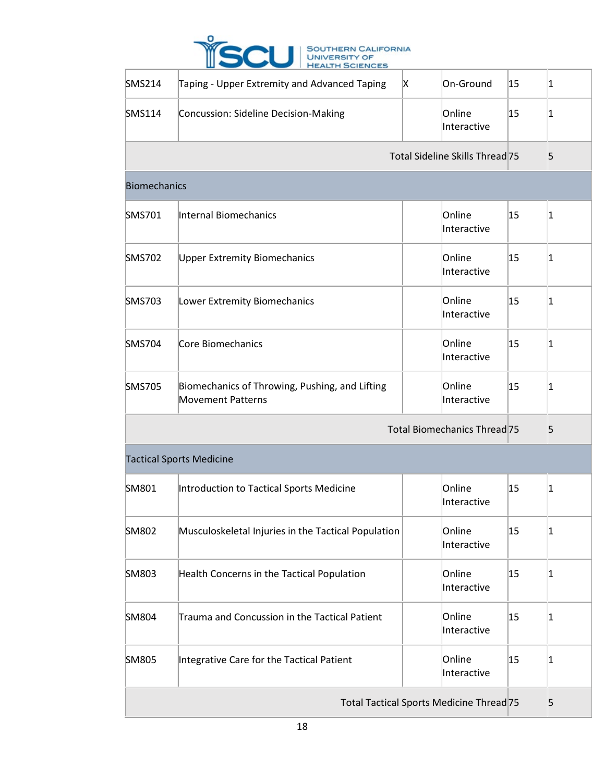

| <b>SMS214</b>                            | Taping - Upper Extremity and Advanced Taping                               | X | On-Ground                       | 15 | 1               |
|------------------------------------------|----------------------------------------------------------------------------|---|---------------------------------|----|-----------------|
| <b>SMS114</b>                            | Concussion: Sideline Decision-Making                                       |   | Online<br>Interactive           | 15 | 1               |
|                                          |                                                                            |   | Total Sideline Skills Thread 75 |    | 5               |
| <b>Biomechanics</b>                      |                                                                            |   |                                 |    |                 |
| SMS701                                   | Internal Biomechanics                                                      |   | Online<br>Interactive           | 15 | $\vert 1 \vert$ |
| <b>SMS702</b>                            | <b>Upper Extremity Biomechanics</b>                                        |   | Online<br>Interactive           | 15 | 1               |
| <b>SMS703</b>                            | Lower Extremity Biomechanics                                               |   | Online<br>Interactive           | 15 | 1               |
| <b>SMS704</b>                            | Core Biomechanics                                                          |   | Online<br>Interactive           | 15 | 1               |
| <b>SMS705</b>                            | Biomechanics of Throwing, Pushing, and Lifting<br><b>Movement Patterns</b> |   | Online<br>Interactive           | 15 | 1               |
|                                          |                                                                            |   | Total Biomechanics Thread 75    |    | 5               |
|                                          | <b>Tactical Sports Medicine</b>                                            |   |                                 |    |                 |
| SM801                                    | Introduction to Tactical Sports Medicine                                   |   | Online<br>Interactive           | 15 | $\vert 1 \vert$ |
| SM802                                    | Musculoskeletal Injuries in the Tactical Population                        |   | Online<br>Interactive           | 15 | 1               |
| SM803                                    | Health Concerns in the Tactical Population                                 |   | Online<br>Interactive           | 15 | 1               |
| SM804                                    | Trauma and Concussion in the Tactical Patient                              |   | Online<br>Interactive           | 15 | 1               |
| <b>SM805</b>                             | Integrative Care for the Tactical Patient                                  |   | Online<br>Interactive           | 15 | $\vert 1 \vert$ |
| Total Tactical Sports Medicine Thread 75 |                                                                            |   |                                 |    | 5               |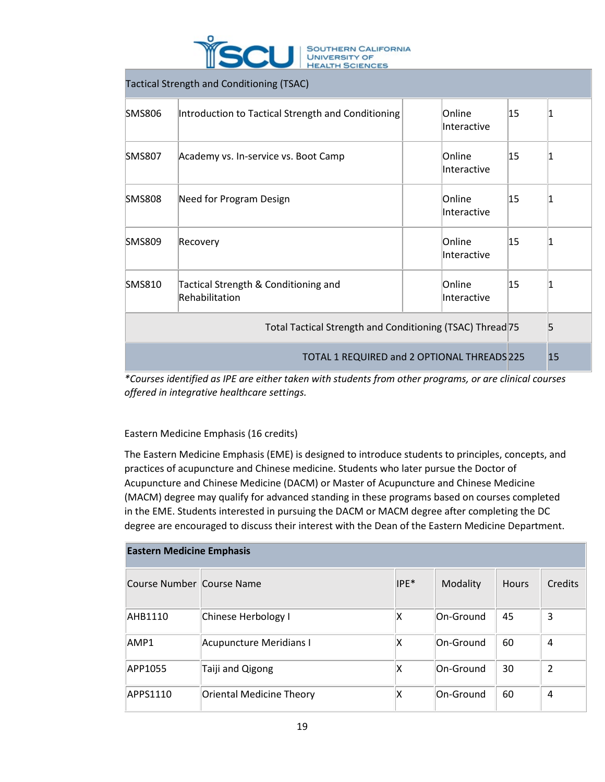

Tactical Strength and Conditioning (TSAC)

| SMS806                                                    | Introduction to Tactical Strength and Conditioning     |  | Online<br>Interactive | 15 |    |
|-----------------------------------------------------------|--------------------------------------------------------|--|-----------------------|----|----|
| SMS807                                                    | Academy vs. In-service vs. Boot Camp                   |  | Online<br>Interactive | 15 |    |
| <b>SMS808</b>                                             | Need for Program Design                                |  | Online<br>Interactive | 15 |    |
| <b>SMS809</b>                                             | Recovery                                               |  | Online<br>Interactive | 15 |    |
| <b>SMS810</b>                                             | Tactical Strength & Conditioning and<br>Rehabilitation |  | Online<br>Interactive | 15 |    |
| Total Tactical Strength and Conditioning (TSAC) Thread 75 |                                                        |  |                       |    | 5  |
| TOTAL 1 REQUIRED and 2 OPTIONAL THREADS 225               |                                                        |  |                       |    | 15 |

*\*Courses identified as IPE are either taken with students from other programs, or are clinical courses offered in integrative healthcare settings.*

# Eastern Medicine Emphasis (16 credits)

The Eastern Medicine Emphasis (EME) is designed to introduce students to principles, concepts, and practices of acupuncture and Chinese medicine. Students who later pursue the Doctor of Acupuncture and Chinese Medicine (DACM) or Master of Acupuncture and Chinese Medicine (MACM) degree may qualify for advanced standing in these programs based on courses completed in the EME. Students interested in pursuing the DACM or MACM degree after completing the DC degree are encouraged to discuss their interest with the Dean of the Eastern Medicine Department.

| <b>Eastern Medicine Emphasis</b> |                                 |        |           |              |                |  |  |  |  |
|----------------------------------|---------------------------------|--------|-----------|--------------|----------------|--|--|--|--|
| Course Number Course Name        |                                 | $IPE*$ | Modality  | <b>Hours</b> | Credits        |  |  |  |  |
| AHB1110                          | Chinese Herbology I             | х      | On-Ground | 45           | 3              |  |  |  |  |
| AMP1                             | <b>Acupuncture Meridians I</b>  | ΙX     | On-Ground | 60           | 4              |  |  |  |  |
| APP1055                          | Taiji and Qigong                | ΙX     | On-Ground | 30           | $\overline{2}$ |  |  |  |  |
| APPS1110                         | <b>Oriental Medicine Theory</b> | х      | On-Ground | 60           | 4              |  |  |  |  |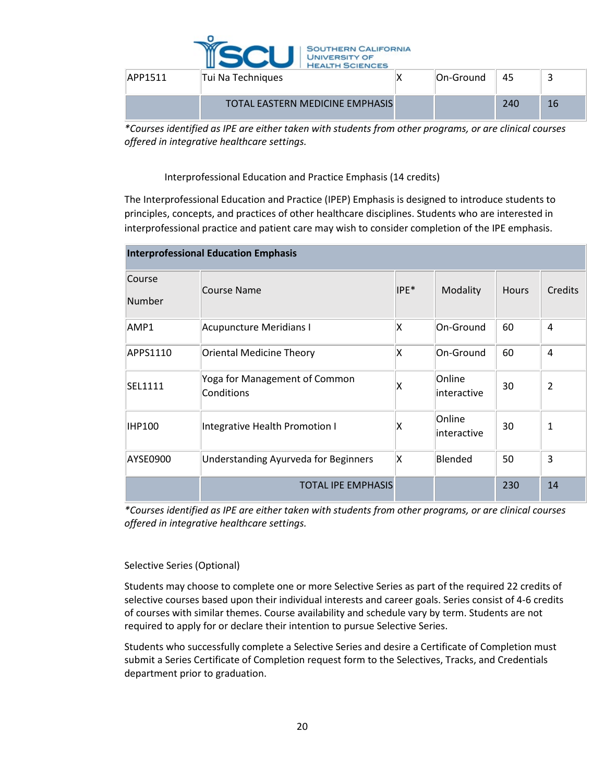

| APP1511 | Tui Na Techniques                      | On-Ground | 45  |    |
|---------|----------------------------------------|-----------|-----|----|
|         | <b>TOTAL EASTERN MEDICINE EMPHASIS</b> |           | 240 | 16 |

*\*Courses identified as IPE are either taken with students from other programs, or are clinical courses offered in integrative healthcare settings.*

Interprofessional Education and Practice Emphasis (14 credits)

The Interprofessional Education and Practice (IPEP) Emphasis is designed to introduce students to principles, concepts, and practices of other healthcare disciplines. Students who are interested in interprofessional practice and patient care may wish to consider completion of the IPE emphasis.

| <b>Interprofessional Education Emphasis</b> |                                             |                  |                        |              |                |  |  |  |  |
|---------------------------------------------|---------------------------------------------|------------------|------------------------|--------------|----------------|--|--|--|--|
| Course<br>Number                            | Course Name                                 | IPE <sup>*</sup> | Modality               | <b>Hours</b> | Credits        |  |  |  |  |
| AMP1                                        | Acupuncture Meridians I                     | ΙX               | On-Ground              | 60           | 4              |  |  |  |  |
| APPS1110                                    | <b>Oriental Medicine Theory</b>             | ΙX               | On-Ground              | 60           | 4              |  |  |  |  |
| SEL1111                                     | Yoga for Management of Common<br>Conditions | χ                | Online<br>linteractive | 30           | $\overline{2}$ |  |  |  |  |
| IHP100                                      | Integrative Health Promotion I              | χ                | Online<br>linteractive | 30           | 1              |  |  |  |  |
| AYSE0900                                    | Understanding Ayurveda for Beginners        | ΙX               | Blended                | 50           | 3              |  |  |  |  |
|                                             | <b>TOTAL IPE EMPHASIS</b>                   |                  |                        | 230          | 14             |  |  |  |  |

*\*Courses identified as IPE are either taken with students from other programs, or are clinical courses offered in integrative healthcare settings.*

# Selective Series (Optional)

Students may choose to complete one or more Selective Series as part of the required 22 credits of selective courses based upon their individual interests and career goals. Series consist of 4-6 credits of courses with similar themes. Course availability and schedule vary by term. Students are not required to apply for or declare their intention to pursue Selective Series.

Students who successfully complete a Selective Series and desire a Certificate of Completion must submit a Series Certificate of Completion request form to the Selectives, Tracks, and Credentials department prior to graduation.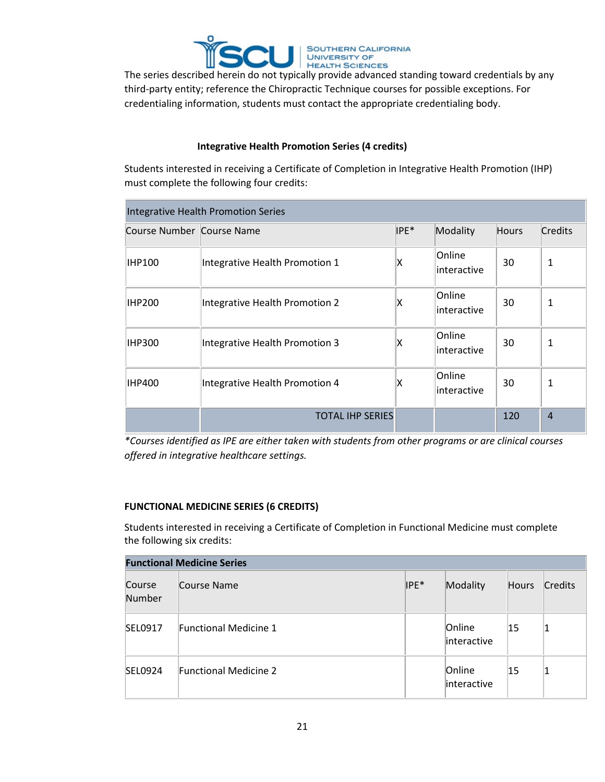

third-party entity; reference the Chiropractic Technique courses for possible exceptions. For credentialing information, students must contact the appropriate credentialing body.

# **Integrative Health Promotion Series (4 credits)**

Students interested in receiving a Certificate of Completion in Integrative Health Promotion (IHP) must complete the following four credits:

| Integrative Health Promotion Series |                                |      |                       |              |                |  |  |  |
|-------------------------------------|--------------------------------|------|-----------------------|--------------|----------------|--|--|--|
| Course Number Course Name           |                                | IPE* | Modality              | <b>Hours</b> | Credits        |  |  |  |
| IHP100                              | Integrative Health Promotion 1 | χ    | Online<br>interactive | 30           | 1              |  |  |  |
| IHP200                              | Integrative Health Promotion 2 | χ    | Online<br>interactive | 30           | 1              |  |  |  |
| <b>IHP300</b>                       | Integrative Health Promotion 3 | χ    | Online<br>interactive | 30           | 1              |  |  |  |
| IHP400                              | Integrative Health Promotion 4 | χ    | Online<br>interactive | 30           | 1              |  |  |  |
|                                     | <b>TOTAL IHP SERIES</b>        |      |                       | 120          | $\overline{4}$ |  |  |  |

*\*Courses identified as IPE are either taken with students from other programs or are clinical courses offered in integrative healthcare settings.*

# **FUNCTIONAL MEDICINE SERIES (6 CREDITS)**

Students interested in receiving a Certificate of Completion in Functional Medicine must complete the following six credits:

| <b>Functional Medicine Series</b> |                              |        |                        |              |         |  |
|-----------------------------------|------------------------------|--------|------------------------|--------------|---------|--|
| Course<br>Number                  | Course Name                  | $IPE*$ | Modality               | <b>Hours</b> | Credits |  |
| SEL0917                           | Functional Medicine 1        |        | Online<br>interactive  | 15           |         |  |
| SEL0924                           | <b>Functional Medicine 2</b> |        | Online<br>linteractive | 15           |         |  |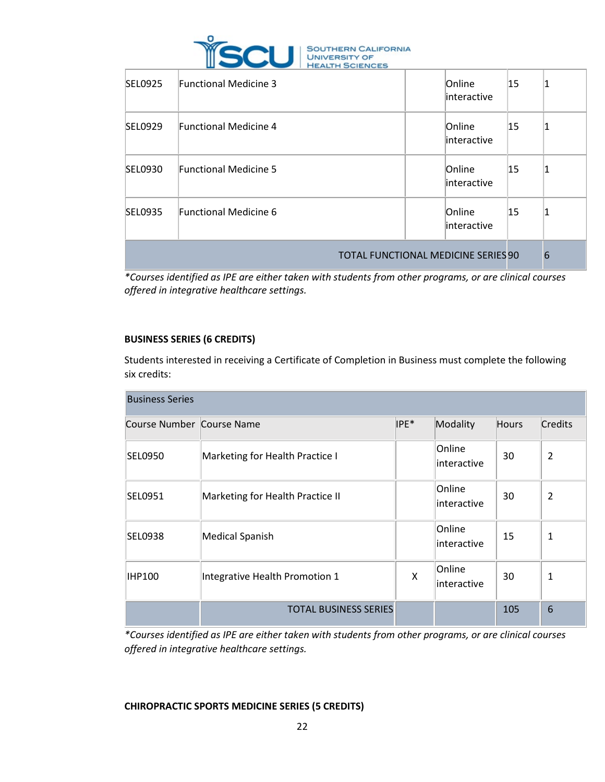

| SEL0925                                    | <b>Functional Medicine 3</b> | Online<br>linteractive | 15           |   |
|--------------------------------------------|------------------------------|------------------------|--------------|---|
| SEL0929                                    | <b>Functional Medicine 4</b> | Online<br>interactive  | 15           |   |
| SEL0930                                    | <b>Functional Medicine 5</b> | Online<br>linteractive | 15           |   |
| SEL0935                                    | <b>Functional Medicine 6</b> | Online<br>linteractive | $ 15\rangle$ |   |
| <b>TOTAL FUNCTIONAL MEDICINE SERIES 90</b> |                              |                        |              | 6 |

*\*Courses identified as IPE are either taken with students from other programs, or are clinical courses offered in integrative healthcare settings.*

# **BUSINESS SERIES (6 CREDITS)**

Students interested in receiving a Certificate of Completion in Business must complete the following six credits:

| <b>Business Series</b>    |                                  |      |                        |              |                |
|---------------------------|----------------------------------|------|------------------------|--------------|----------------|
| Course Number Course Name |                                  | IPE* | Modality               | <b>Hours</b> | Credits        |
| <b>SEL0950</b>            | Marketing for Health Practice I  |      | Online<br>interactive  | 30           | $\overline{2}$ |
| SEL0951                   | Marketing for Health Practice II |      | Online<br>linteractive | 30           | $\overline{2}$ |
| SEL0938                   | Medical Spanish                  |      | Online<br>linteractive | 15           | 1              |
| IHP100                    | Integrative Health Promotion 1   | X    | Online<br>interactive  | 30           | 1              |
|                           | <b>TOTAL BUSINESS SERIES</b>     |      |                        | 105          | 6              |

*\*Courses identified as IPE are either taken with students from other programs, or are clinical courses offered in integrative healthcare settings.*

**CHIROPRACTIC SPORTS MEDICINE SERIES (5 CREDITS)**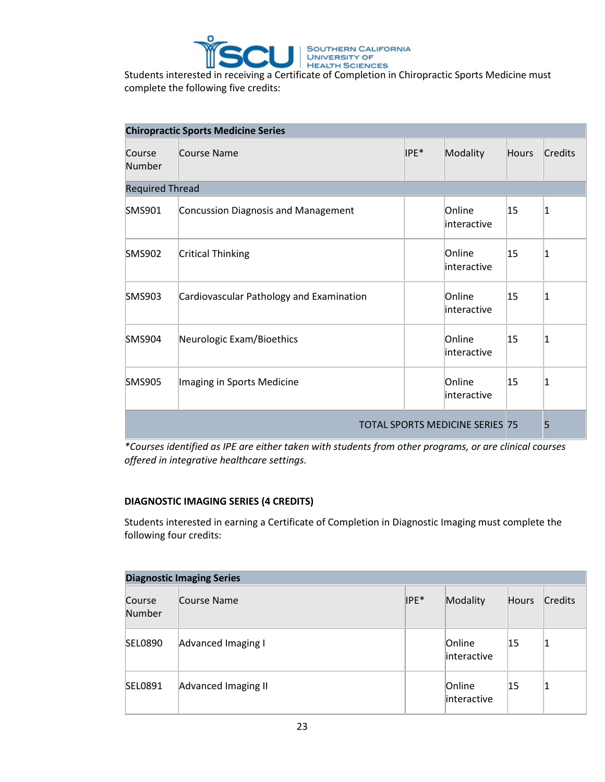

complete the following five credits:

| <b>Chiropractic Sports Medicine Series</b> |                                          |      |                        |              |                |  |
|--------------------------------------------|------------------------------------------|------|------------------------|--------------|----------------|--|
| Course<br>Number                           | Course Name                              | IPE* | Modality               | <b>Hours</b> | <b>Credits</b> |  |
| <b>Required Thread</b>                     |                                          |      |                        |              |                |  |
| <b>SMS901</b>                              | Concussion Diagnosis and Management      |      | Online<br>interactive  | 15           | 1              |  |
| <b>SMS902</b>                              | <b>Critical Thinking</b>                 |      | Online<br>linteractive | 15           | 1              |  |
| <b>SMS903</b>                              | Cardiovascular Pathology and Examination |      | Online<br>linteractive | 15           | 1              |  |
| <b>SMS904</b>                              | Neurologic Exam/Bioethics                |      | Online<br>interactive  | 15           | 1              |  |
| <b>SMS905</b>                              | Imaging in Sports Medicine               |      | Online<br>linteractive | 15           | 1              |  |
| <b>TOTAL SPORTS MEDICINE SERIES 75</b>     |                                          |      |                        |              | 5              |  |

*\*Courses identified as IPE are either taken with students from other programs, or are clinical courses offered in integrative healthcare settings.*

# **DIAGNOSTIC IMAGING SERIES (4 CREDITS)**

Students interested in earning a Certificate of Completion in Diagnostic Imaging must complete the following four credits:

| <b>Diagnostic Imaging Series</b> |                     |      |                        |              |         |  |
|----------------------------------|---------------------|------|------------------------|--------------|---------|--|
| Course<br>Number                 | Course Name         | IPE* | Modality               | <b>Hours</b> | Credits |  |
| <b>SEL0890</b>                   | Advanced Imaging I  |      | Online<br>interactive  | 15           |         |  |
| SEL0891                          | Advanced Imaging II |      | Online<br>linteractive | 15           |         |  |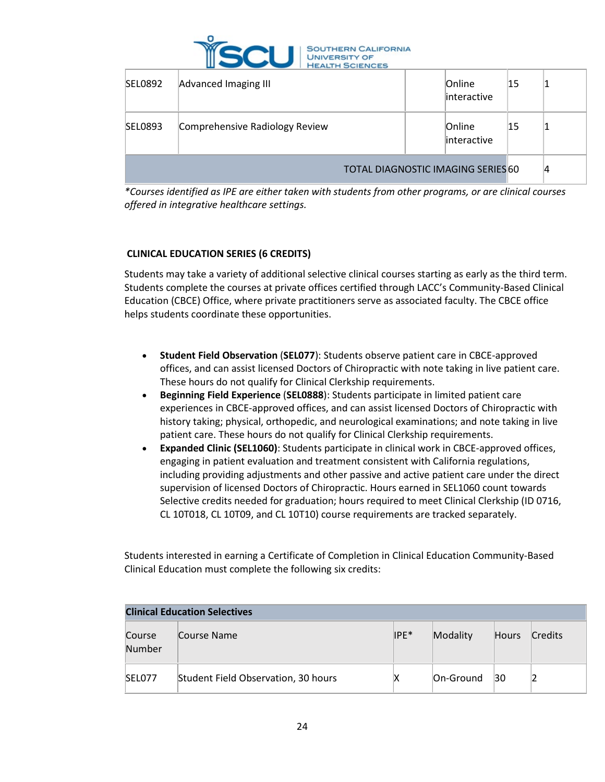

| <b>SEL0892</b>                            | Advanced Imaging III           |  | Online<br>interactive | 15 |    |
|-------------------------------------------|--------------------------------|--|-----------------------|----|----|
| <b>SEL0893</b>                            | Comprehensive Radiology Review |  | Online<br>interactive | 15 |    |
| <b>TOTAL DIAGNOSTIC IMAGING SERIES 60</b> |                                |  |                       |    | 14 |

*\*Courses identified as IPE are either taken with students from other programs, or are clinical courses offered in integrative healthcare settings.*

# **CLINICAL EDUCATION SERIES (6 CREDITS)**

Students may take a variety of additional selective clinical courses starting as early as the third term. Students complete the courses at private offices certified through LACC's Community-Based Clinical Education (CBCE) Office, where private practitioners serve as associated faculty. The CBCE office helps students coordinate these opportunities.

- **Student Field Observation** (**SEL077**): Students observe patient care in CBCE-approved offices, and can assist licensed Doctors of Chiropractic with note taking in live patient care. These hours do not qualify for Clinical Clerkship requirements.
- **Beginning Field Experience** (**SEL0888**): Students participate in limited patient care experiences in CBCE-approved offices, and can assist licensed Doctors of Chiropractic with history taking; physical, orthopedic, and neurological examinations; and note taking in live patient care. These hours do not qualify for Clinical Clerkship requirements.
- **Expanded Clinic (SEL1060)**: Students participate in clinical work in CBCE-approved offices, engaging in patient evaluation and treatment consistent with California regulations, including providing adjustments and other passive and active patient care under the direct supervision of licensed Doctors of Chiropractic. Hours earned in SEL1060 count towards Selective credits needed for graduation; hours required to meet Clinical Clerkship (ID 0716, CL 10T018, CL 10T09, and CL 10T10) course requirements are tracked separately.

Students interested in earning a Certificate of Completion in Clinical Education Community-Based Clinical Education must complete the following six credits:

| <b>Clinical Education Selectives</b> |                                     |        |           |              |                |  |
|--------------------------------------|-------------------------------------|--------|-----------|--------------|----------------|--|
| Course<br>Number                     | Course Name                         | $IPE*$ | Modality  | <b>Hours</b> | <b>Credits</b> |  |
| SEL077                               | Student Field Observation, 30 hours | х      | On-Ground | 30           |                |  |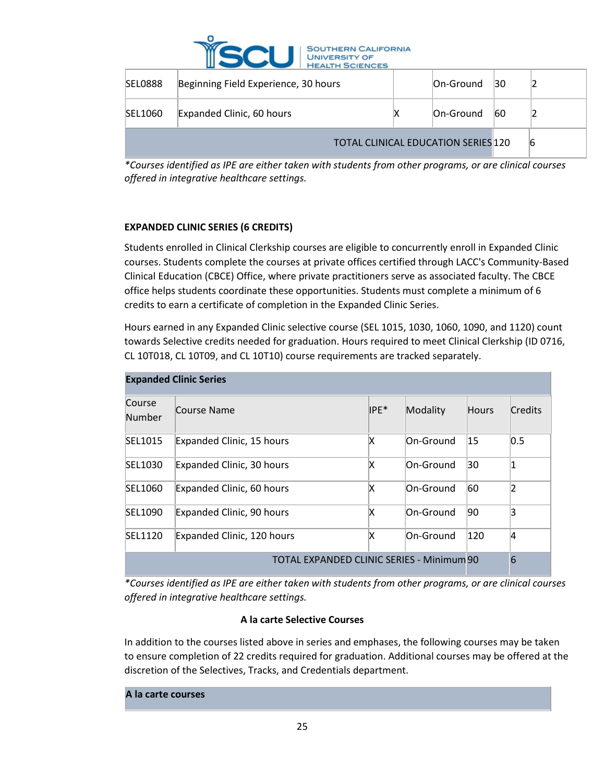

| <b>SEL0888</b>                             | Beginning Field Experience, 30 hours |   | On-Ground | 30        |   |
|--------------------------------------------|--------------------------------------|---|-----------|-----------|---|
| SEL1060                                    | Expanded Clinic, 60 hours            | ⋏ | On-Ground | <b>60</b> |   |
| <b>TOTAL CLINICAL EDUCATION SERIES 120</b> |                                      |   |           |           | 6 |

*\*Courses identified as IPE are either taken with students from other programs, or are clinical courses offered in integrative healthcare settings.*

# **EXPANDED CLINIC SERIES (6 CREDITS)**

Students enrolled in Clinical Clerkship courses are eligible to concurrently enroll in Expanded Clinic courses. Students complete the courses at private offices certified through LACC's Community-Based Clinical Education (CBCE) Office, where private practitioners serve as associated faculty. The CBCE office helps students coordinate these opportunities. Students must complete a minimum of 6 credits to earn a certificate of completion in the Expanded Clinic Series.

Hours earned in any Expanded Clinic selective course (SEL 1015, 1030, 1060, 1090, and 1120) count towards Selective credits needed for graduation. Hours required to meet Clinical Clerkship (ID 0716, CL 10T018, CL 10T09, and CL 10T10) course requirements are tracked separately.

| <b>Expanded Clinic Series</b>             |                            |      |           |              |                |  |
|-------------------------------------------|----------------------------|------|-----------|--------------|----------------|--|
| Course<br>Number                          | Course Name                | IPE* | Modality  | <b>Hours</b> | <b>Credits</b> |  |
| SEL1015                                   | Expanded Clinic, 15 hours  | X    | On-Ground | $ 15\rangle$ | 0.5            |  |
| SEL1030                                   | Expanded Clinic, 30 hours  | x    | On-Ground | 30           |                |  |
| SEL1060                                   | Expanded Clinic, 60 hours  | x    | On-Ground | 60           | າ              |  |
| SEL1090                                   | Expanded Clinic, 90 hours  | x    | On-Ground | 90           | 3              |  |
| SEL1120                                   | Expanded Clinic, 120 hours | x    | On-Ground | 120          | 4              |  |
| TOTAL EXPANDED CLINIC SERIES - Minimum 90 |                            |      |           |              | 6              |  |

*\*Courses identified as IPE are either taken with students from other programs, or are clinical courses offered in integrative healthcare settings.*

# **A la carte Selective Courses**

In addition to the courses listed above in series and emphases, the following courses may be taken to ensure completion of 22 credits required for graduation. Additional courses may be offered at the discretion of the Selectives, Tracks, and Credentials department.

#### **A la carte courses**